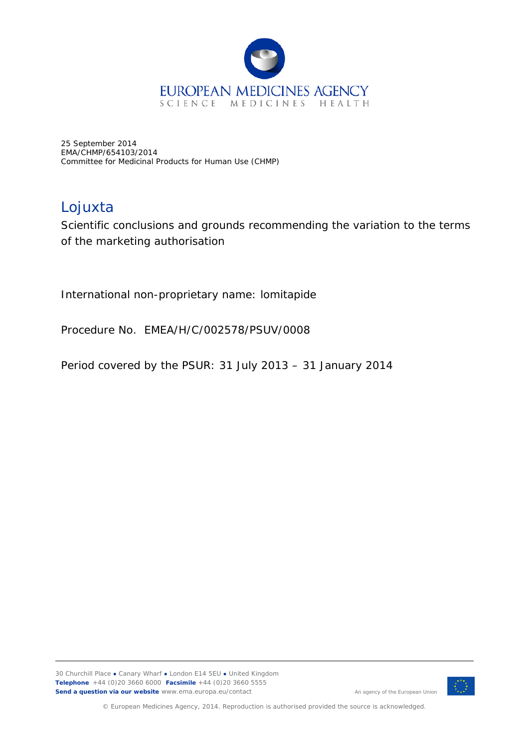

25 September 2014 EMA/CHMP/654103/2014 Committee for Medicinal Products for Human Use (CHMP)

## Lojuxta

Scientific conclusions and grounds recommending the variation to the terms of the marketing authorisation

International non-proprietary name: lomitapide

Procedure No. EMEA/H/C/002578/PSUV/0008

Period covered by the PSUR: 31 July 2013 – 31 January 2014



An agency of the European Union

© European Medicines Agency, 2014. Reproduction is authorised provided the source is acknowledged.